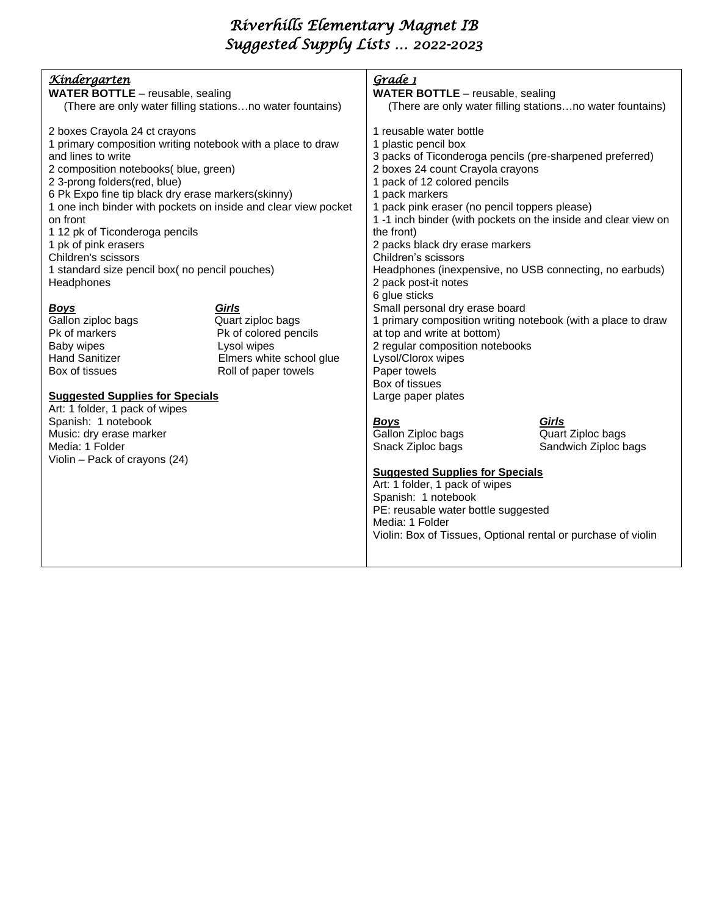# *Riverhills Elementary Magnet IB Suggested Supply Lists … 2022-2023*

## *Kindergarten*

- **WATER BOTTLE** reusable, sealing (There are only water filling stations…no water fountains)
- 2 boxes Crayola 24 ct crayons 1 primary composition writing notebook with a place to draw and lines to write 2 composition notebooks( blue, green) 2 3-prong folders(red, blue) 6 Pk Expo fine tip black dry erase markers(skinny) 1 one inch binder with pockets on inside and clear view pocket on front 1 12 pk of Ticonderoga pencils 1 pk of pink erasers
- Children's scissors 1 standard size pencil box( no pencil pouches) **Headphones**

### *Boys Girls*

- 
- Baby wipes **Lysol** wipes

## Gallon ziploc bags **Quart ziploc bags** Pk of markers Pk of colored pencils Hand Sanitizer Elmers white school glue Box of tissues Roll of paper towels

#### **Suggested Supplies for Specials**

Art: 1 folder, 1 pack of wipes Spanish: 1 notebook Music: dry erase marker Media: 1 Folder Violin – Pack of crayons (24) *Grade 1*  **WATER BOTTLE** – reusable, sealing (There are only water filling stations…no water fountains) 1 reusable water bottle 1 plastic pencil box 3 packs of Ticonderoga pencils (pre-sharpened preferred) 2 boxes 24 count Crayola crayons 1 pack of 12 colored pencils 1 pack markers 1 pack pink eraser (no pencil toppers please) 1 -1 inch binder (with pockets on the inside and clear view on the front) 2 packs black dry erase markers Children's scissors Headphones (inexpensive, no USB connecting, no earbuds) 2 pack post-it notes 6 glue sticks Small personal dry erase board 1 primary composition writing notebook (with a place to draw at top and write at bottom) 2 regular composition notebooks Lysol/Clorox wipes Paper towels Box of tissues Large paper plates

Gallon Ziploc bags

*Boys Girls* Snack Ziploc bags Sandwich Ziploc bags

### **Suggested Supplies for Specials**

Art: 1 folder, 1 pack of wipes Spanish: 1 notebook PE: reusable water bottle suggested Media: 1 Folder Violin: Box of Tissues, Optional rental or purchase of violin